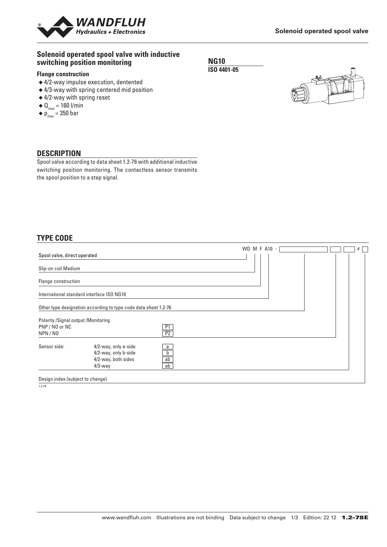

### **Solenoid operated spool valve with inductive switching position monitoring**

#### **Flange construction**

- ◆ 4/2-way impulse execution, dentented
- ◆ 4/3-way with spring centered mid position
- ◆ 4/2-way with spring reset
- $\blacklozenge \mathbf{0}_{\text{max}} = 160 \text{ I/min}$
- $\blacklozenge$  p<sub>max</sub> = 350 bar

## **NG10 ISO 4401-05**



## **DESCRIPTION**

Spool valve according to data sheet 1.2-76 with additional inductive switching position monitoring. The contactless sensor transmits the spool position to a step signal.

## **TYPE CODE**

|                                                                   |                                                                                   |               | WD M F A10 - |  |
|-------------------------------------------------------------------|-----------------------------------------------------------------------------------|---------------|--------------|--|
| Spool valve, direct operated                                      |                                                                                   |               |              |  |
| Slip-on coil Medium                                               |                                                                                   |               |              |  |
| Flange construction                                               |                                                                                   |               |              |  |
|                                                                   | International standard interface ISO NG10                                         |               |              |  |
|                                                                   | Other type designation according to type code data sheet 1.2-76                   |               |              |  |
| Polarity / Signal output / Monitoring<br>PNP / NO or NC<br>NPN/NO |                                                                                   | P1<br>P2      |              |  |
| Sensor side:                                                      | 4/2-way, only a-side<br>4/2-way, only b-side<br>4/2-way, both sides<br>$4/3$ -way | a<br>ab<br>ab |              |  |
| Design index (subject to change)                                  |                                                                                   |               |              |  |

 $\frac{1}{2.78}$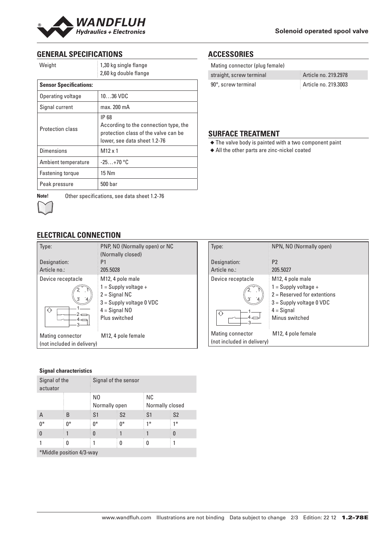

# **GENERAL SPECIFICATIONS**

| Weight                        | 1,30 kg single flange<br>2,60 kg double flange                                                                         |  |
|-------------------------------|------------------------------------------------------------------------------------------------------------------------|--|
| <b>Sensor Specifications:</b> |                                                                                                                        |  |
| Operating voltage             | $1036$ VDC                                                                                                             |  |
| Signal current                | max. 200 mA                                                                                                            |  |
| <b>Protection class</b>       | IP 68<br>According to the connection type, the<br>protection class of the valve can be<br>lower, see data sheet 1.2-76 |  |
| <b>Dimensions</b>             | $M12 \times 1$                                                                                                         |  |
| Ambient temperature           | $-25+70$ °C                                                                                                            |  |
| Fastening torque              | 15 Nm                                                                                                                  |  |
| Peak pressure                 | 500 bar                                                                                                                |  |



**Note!** Other specifications, see data sheet 1.2-76

# **ELECTRICAL CONNECTION**

| Type:                                          | PNP, NO (Normally open) or NC<br>(Normally closed)                         |
|------------------------------------------------|----------------------------------------------------------------------------|
| Designation:                                   | P1                                                                         |
| Article no.:                                   | 205.5028                                                                   |
| Device receptacle                              | M <sub>12</sub> , 4 pole male<br>$1 =$ Supply voltage +<br>$2 =$ Signal NC |
|                                                | $3 =$ Supply voltage 0 VDC                                                 |
| ♦                                              | $4 =$ Signal NO                                                            |
|                                                | Plus switched                                                              |
| Mating connector<br>(not included in delivery) | M12, 4 pole female                                                         |

#### **Signal characteristics**

| Signal of the<br>actuator |      | Signal of the sensor            |                |                        |                |
|---------------------------|------|---------------------------------|----------------|------------------------|----------------|
|                           |      | N <sub>0</sub><br>Normally open |                | NC.<br>Normally closed |                |
| A                         | B    | S <sub>1</sub>                  | S <sub>2</sub> | S1                     | S <sub>2</sub> |
| $0^*$                     | $0*$ | $0^*$                           | $0^*$          | $1*$                   | $1*$           |
| $\Omega$                  |      | 0                               |                |                        | 0              |
|                           | 0    |                                 | 0              | 0                      |                |
| *Middle position 4/3-way  |      |                                 |                |                        |                |

# **ACCESSORIES**

| Mating connector (plug female) |                      |
|--------------------------------|----------------------|
| straight, screw terminal       | Article no. 219.2978 |
| 90°, screw terminal            | Article no. 219.3003 |

## **SURFACE TREATMENT**

- ◆ The valve body is painted with a two component paint
- ◆ All the other parts are zinc-nickel coated

| Type:                                          | NPN, NO (Normally open)                                                                                                                                  |
|------------------------------------------------|----------------------------------------------------------------------------------------------------------------------------------------------------------|
| Designation:<br>Article no.:                   | P <sub>2</sub><br>205.5027                                                                                                                               |
| Device receptacle<br>$\triangleleft$           | M <sub>12</sub> , 4 pole male<br>$1 =$ Supply voltage +<br>$2$ = Reserved for extentions<br>$3 =$ Supply voltage 0 VDC<br>$4 =$ Signal<br>Minus switched |
| Mating connector<br>(not included in delivery) | M12, 4 pole female                                                                                                                                       |